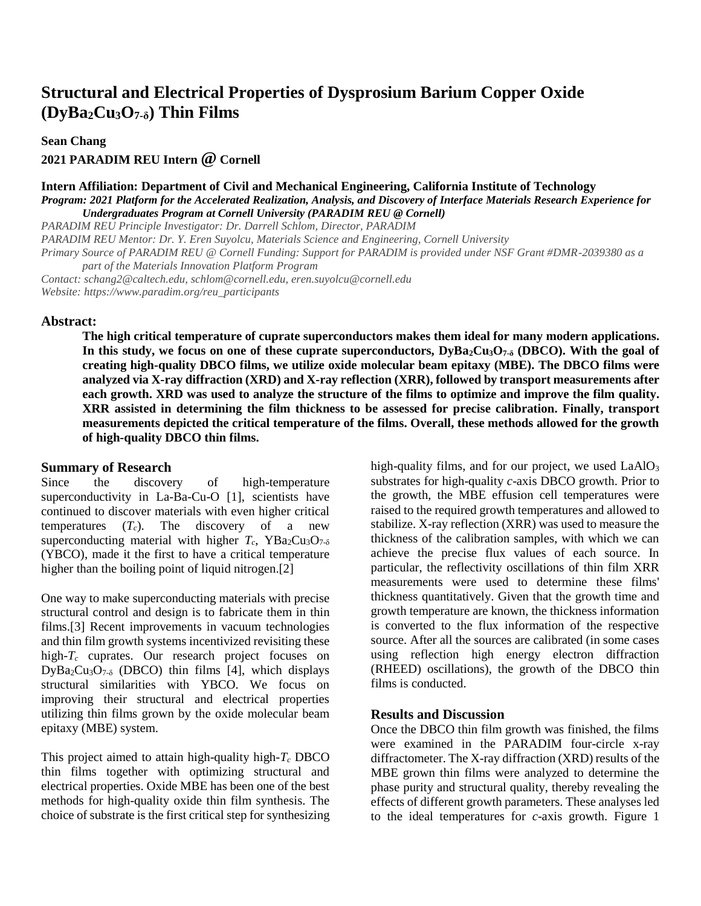# **Structural and Electrical Properties of Dysprosium Barium Copper Oxide (DyBa2Cu3O7-δ) Thin Films**

**Sean Chang**

**2021 PARADIM REU Intern @ Cornell**

#### **Intern Affiliation: Department of Civil and Mechanical Engineering, California Institute of Technology** *Program: 2021 Platform for the Accelerated Realization, Analysis, and Discovery of Interface Materials Research Experience for Undergraduates Program at Cornell University (PARADIM REU @ Cornell)*

*PARADIM REU Principle Investigator: Dr. Darrell Schlom, Director, PARADIM PARADIM REU Mentor: Dr. Y. Eren Suyolcu, Materials Science and Engineering, Cornell University Primary Source of PARADIM REU @ Cornell Funding: Support for PARADIM is provided under NSF Grant #DMR-2039380 as a part of the Materials Innovation Platform Program Contact: schang2@caltech.edu, schlom@cornell.edu, eren.suyolcu@cornell.edu Website: https://www.paradim.org/reu\_participants*

### **Abstract:**

**The high critical temperature of cuprate superconductors makes them ideal for many modern applications. In this study, we focus on one of these cuprate superconductors, DyBa2Cu3O7-δ (DBCO). With the goal of creating high-quality DBCO films, we utilize oxide molecular beam epitaxy (MBE). The DBCO films were analyzed via X-ray diffraction (XRD) and X-ray reflection (XRR), followed by transport measurements after each growth. XRD was used to analyze the structure of the films to optimize and improve the film quality. XRR assisted in determining the film thickness to be assessed for precise calibration. Finally, transport measurements depicted the critical temperature of the films. Overall, these methods allowed for the growth of high-quality DBCO thin films.** 

# **Summary of Research**

Since the discovery of high-temperature superconductivity in La-Ba-Cu-O [1], scientists have continued to discover materials with even higher critical temperatures  $(T_c)$ . The discovery of a new superconducting material with higher  $T_c$ , YBa<sub>2</sub>Cu<sub>3</sub>O<sub>7-δ</sub> (YBCO), made it the first to have a critical temperature higher than the boiling point of liquid nitrogen.[2]

One way to make superconducting materials with precise structural control and design is to fabricate them in thin films.[3] Recent improvements in vacuum technologies and thin film growth systems incentivized revisiting these high-*T<sup>c</sup>* cuprates. Our research project focuses on  $DyBa_2Cu_3O_{7-\delta}$  (DBCO) thin films [4], which displays structural similarities with YBCO. We focus on improving their structural and electrical properties utilizing thin films grown by the oxide molecular beam epitaxy (MBE) system.

This project aimed to attain high-quality high*-T<sup>c</sup>* DBCO thin films together with optimizing structural and electrical properties. Oxide MBE has been one of the best methods for high-quality oxide thin film synthesis. The choice of substrate is the first critical step for synthesizing high-quality films, and for our project, we used  $LaAlO<sub>3</sub>$ substrates for high-quality *c*-axis DBCO growth. Prior to the growth, the MBE effusion cell temperatures were raised to the required growth temperatures and allowed to stabilize. X-ray reflection (XRR) was used to measure the thickness of the calibration samples, with which we can achieve the precise flux values of each source. In particular, the reflectivity oscillations of thin film XRR measurements were used to determine these films' thickness quantitatively. Given that the growth time and growth temperature are known, the thickness information is converted to the flux information of the respective source. After all the sources are calibrated (in some cases using reflection high energy electron diffraction (RHEED) oscillations), the growth of the DBCO thin films is conducted.

# **Results and Discussion**

Once the DBCO thin film growth was finished, the films were examined in the PARADIM four-circle x-ray diffractometer. The X-ray diffraction (XRD) results of the MBE grown thin films were analyzed to determine the phase purity and structural quality, thereby revealing the effects of different growth parameters. These analyses led to the ideal temperatures for *c*-axis growth. Figure 1